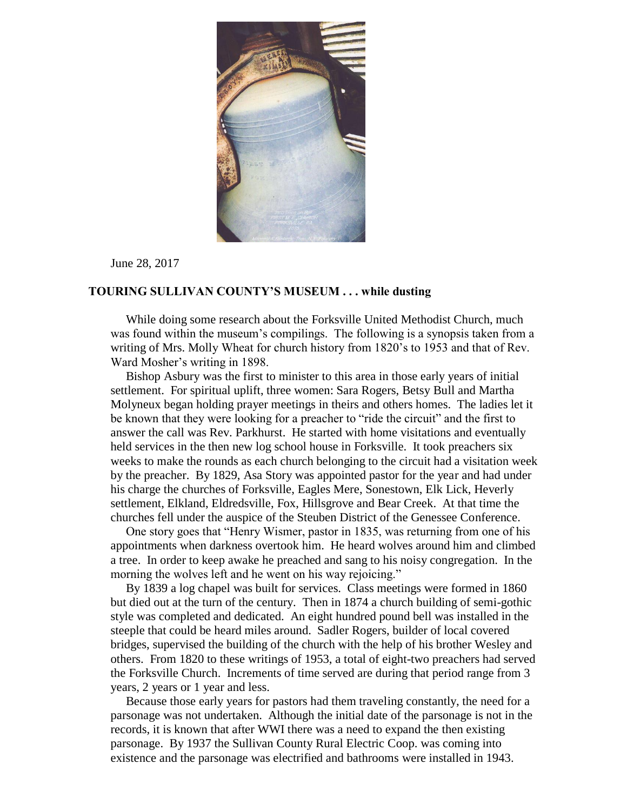

June 28, 2017

## **TOURING SULLIVAN COUNTY'S MUSEUM . . . while dusting**

 While doing some research about the Forksville United Methodist Church, much was found within the museum's compilings. The following is a synopsis taken from a writing of Mrs. Molly Wheat for church history from 1820's to 1953 and that of Rev. Ward Mosher's writing in 1898.

 Bishop Asbury was the first to minister to this area in those early years of initial settlement. For spiritual uplift, three women: Sara Rogers, Betsy Bull and Martha Molyneux began holding prayer meetings in theirs and others homes. The ladies let it be known that they were looking for a preacher to "ride the circuit" and the first to answer the call was Rev. Parkhurst. He started with home visitations and eventually held services in the then new log school house in Forksville. It took preachers six weeks to make the rounds as each church belonging to the circuit had a visitation week by the preacher. By 1829, Asa Story was appointed pastor for the year and had under his charge the churches of Forksville, Eagles Mere, Sonestown, Elk Lick, Heverly settlement, Elkland, Eldredsville, Fox, Hillsgrove and Bear Creek. At that time the churches fell under the auspice of the Steuben District of the Genessee Conference.

 One story goes that "Henry Wismer, pastor in 1835, was returning from one of his appointments when darkness overtook him. He heard wolves around him and climbed a tree. In order to keep awake he preached and sang to his noisy congregation. In the morning the wolves left and he went on his way rejoicing."

 By 1839 a log chapel was built for services. Class meetings were formed in 1860 but died out at the turn of the century. Then in 1874 a church building of semi-gothic style was completed and dedicated. An eight hundred pound bell was installed in the steeple that could be heard miles around. Sadler Rogers, builder of local covered bridges, supervised the building of the church with the help of his brother Wesley and others. From 1820 to these writings of 1953, a total of eight-two preachers had served the Forksville Church. Increments of time served are during that period range from 3 years, 2 years or 1 year and less.

 Because those early years for pastors had them traveling constantly, the need for a parsonage was not undertaken. Although the initial date of the parsonage is not in the records, it is known that after WWI there was a need to expand the then existing parsonage. By 1937 the Sullivan County Rural Electric Coop. was coming into existence and the parsonage was electrified and bathrooms were installed in 1943.